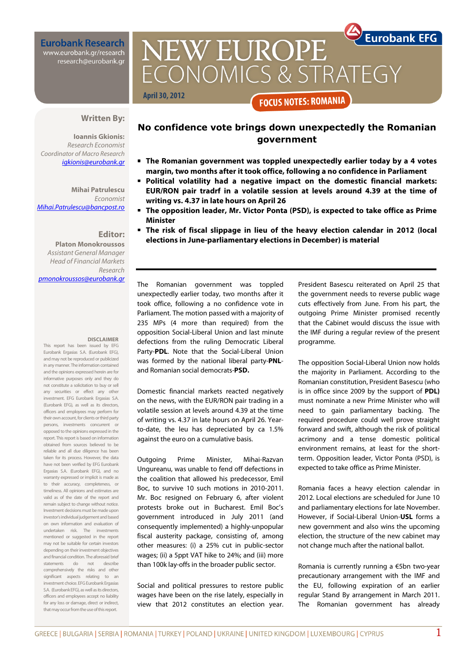**Eurobank Research** www.eurobank.gr/research research@eurobank.gr

**Eurobank EFG NEW EUROPE** ECONOMICS & STRATEGY **April 30, 2012 FOCUS NOTES: ROMANIA** 

## **Written By:**

**Ioannis Gkionis:**  Research Economist Coordinator of Macro Research igkionis@eurobank.gr

**Mihai Patrulescu**  Economist Mihai.Patrulescu@bancpost.ro

# **Editor:**

**Platon Monokroussos**  Assistant General Manager Head of Financial Markets Research pmonokroussos@eurobank.gr

#### **DISCLAIMER**

This report has been issued by EFG Eurobank Ergasias S.A. (Eurobank EFG), and may not be reproduced or publicized in any manner. The information contained and the opinions expressed herein are for informative purposes only and they do not constitute a solicitation to buy or sell any securities or effect any other investment. EFG Eurobank Ergasias S.A. (Eurobank EFG), as well as its directors, officers and employees may perform for their own account, for clients or third party persons, investments concurrent or opposed to the opinions expressed in the report. This report is based on information obtained from sources believed to be reliable and all due diligence has been taken for its process. However, the data have not been verified by EFG Eurobank Ergasias S.A. (Eurobank EFG), and no arranty expressed or implicit is made as to their accuracy, completeness, or timeliness. All opinions and estimates are valid as of the date of the report and remain subject to change without notice. Investment decisions must be made upon investor's individual judgement and based on own information and evaluation of undertaken risk. The investments mentioned or suggested in the report may not be suitable for certain investors depending on their investment objectives and financial condition. The aforesaid brief statements do not describe comprehensively the risks and other significant aspects relating to an investment choice. EFG Eurobank Ergasias S.A. (Eurobank EFG), as well as its directors, officers and employees accept no liability for any loss or damage, direct or indirect that may occur from the use of this report.

# No confidence vote brings down unexpectedly the Romanian government

- **The Romanian government was toppled unexpectedly earlier today by a 4 votes margin, two months after it took office, following a no confidence in Parliament**
- **Political volatility had a negative impact on the domestic financial markets: EUR/RON pair tradrf in a volatile session at levels around 4.39 at the time of writing vs. 4.37 in late hours on April 26**
- **The opposition leader, Mr. Victor Ponta (PSD), is expected to take office as Prime Minister**
- **The risk of fiscal slippage in lieu of the heavy election calendar in 2012 (local elections in June-parliamentary elections in December) is material**

The Romanian government was toppled unexpectedly earlier today, two months after it took office, following a no confidence vote in Parliament. The motion passed with a majority of 235 MPs (4 more than required) from the opposition Social-Liberal Union and last minute defections from the ruling Democratic Liberal Party-**PDL**. Note that the Social-Liberal Union was formed by the national liberal party-**PNL**and Romanian social democrats-**PSD.** 

Domestic financial markets reacted negatively on the news, with the EUR/RON pair trading in a volatile session at levels around 4.39 at the time of writing vs. 4.37 in late hours on April 26. Yearto-date, the leu has depreciated by ca 1.5% against the euro on a cumulative basis.

Outgoing Prime Minister, Mihai-Razvan Ungureanu, was unable to fend off defections in the coalition that allowed his predecessor, Emil Boc, to survive 10 such motions in 2010-2011. Mr. Boc resigned on February 6, after violent protests broke out in Bucharest. Emil Boc's government introduced in July 2011 (and consequently implemented) a highly-unpopular fiscal austerity package, consisting of, among other measures: (i) a 25% cut in public-sector wages; (ii) a 5ppt VAT hike to 24%; and (iii) more than 100k lay-offs in the broader public sector.

Social and political pressures to restore public wages have been on the rise lately, especially in view that 2012 constitutes an election year.

President Basescu reiterated on April 25 that the government needs to reverse public wage cuts effectively from June. From his part, the outgoing Prime Minister promised recently that the Cabinet would discuss the issue with the IMF during a regular review of the present programme.

The opposition Social-Liberal Union now holds the majority in Parliament. According to the Romanian constitution, President Basescu (who is in office since 2009 by the support of **PDL)**  must nominate a new Prime Minister who will need to gain parliamentary backing. The required procedure could well prove straight forward and swift, although the risk of political acrimony and a tense domestic political environment remains, at least for the shortterm. Opposition leader, Victor Ponta (PSD), is expected to take office as Prime Minister.

Romania faces a heavy election calendar in 2012. Local elections are scheduled for June 10 and parliamentary elections for late November. However, if Social-Liberal Union-**USL** forms a new government and also wins the upcoming election, the structure of the new cabinet may not change much after the national ballot.

Romania is currently running a €5bn two-year precautionary arrangement with the IMF and the EU, following expiration of an earlier regular Stand By arrangement in March 2011. The Romanian government has already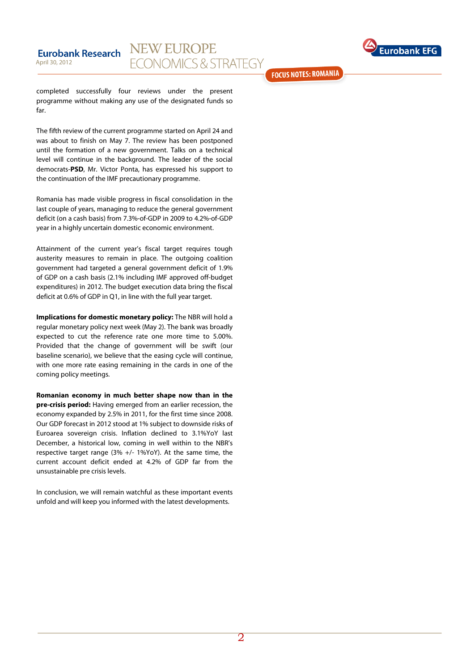

**FOCUS NOTES: ROMANIA** 

completed successfully four reviews under the present programme without making any use of the designated funds so far.

April 30, 2012

The fifth review of the current programme started on April 24 and was about to finish on May 7. The review has been postponed until the formation of a new government. Talks on a technical level will continue in the background. The leader of the social democrats-**PSD**, Mr. Victor Ponta, has expressed his support to the continuation of the IMF precautionary programme.

Romania has made visible progress in fiscal consolidation in the last couple of years, managing to reduce the general government deficit (on a cash basis) from 7.3%-of-GDP in 2009 to 4.2%-of-GDP year in a highly uncertain domestic economic environment.

Attainment of the current year's fiscal target requires tough austerity measures to remain in place. The outgoing coalition government had targeted a general government deficit of 1.9% of GDP on a cash basis (2.1% including IMF approved off-budget expenditures) in 2012. The budget execution data bring the fiscal deficit at 0.6% of GDP in Q1, in line with the full year target.

**Implications for domestic monetary policy:** The NBR will hold a regular monetary policy next week (May 2). The bank was broadly expected to cut the reference rate one more time to 5.00%. Provided that the change of government will be swift (our baseline scenario), we believe that the easing cycle will continue, with one more rate easing remaining in the cards in one of the coming policy meetings.

**Romanian economy in much better shape now than in the pre-crisis period:** Having emerged from an earlier recession, the economy expanded by 2.5% in 2011, for the first time since 2008. Our GDP forecast in 2012 stood at 1% subject to downside risks of Euroarea sovereign crisis. Inflation declined to 3.1%YoY last December, a historical low, coming in well within to the NBR's respective target range (3% +/- 1%YoY). At the same time, the current account deficit ended at 4.2% of GDP far from the unsustainable pre crisis levels.

In conclusion, we will remain watchful as these important events unfold and will keep you informed with the latest developments.